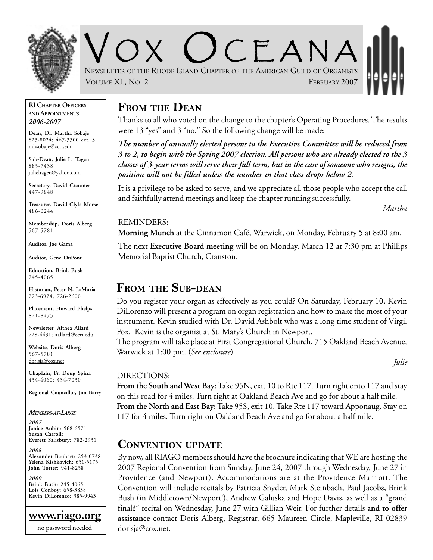

CEANA NEWSLETTER OF THE RHODE ISLAND CHAPTER OF THE AMERICAN GUILD OF ORGANISTS VOLUME XL, No. 2 FEBRUARY 2007

#### **RI CHAPTER OFFICERS AND APPOINTMENTS** *2006-2007*

**Dean, Dr. Martha Sobaje** 823-8024; 467-3300 ext. 3 mhsobaje@ccri.edu

**Sub-Dean, Julie L. Tagen** 885-7438 julieltagen@yahoo.com

**Secretary, David Cranmer** 447-9848

**Treasurer, David Clyle Morse** 486-0244

**Membership, Doris Alberg** 567-5781

**Auditor, Joe Gama**

**Auditor, Gene DuPont**

**Education, Brink Bush** 245-4065

**Historian, Peter N. LaMoria** 723-6974; 726-2600

**Placement, Howard Phelps** 821-8475

**Newsletter, Althea Allard** 728-4431; aallard@ccri.edu

**Website**, **Doris Alberg** 567-5781 dorisja@cox.net

**Chaplain, Fr. Doug Spina** 434-4060; 434-7030

**Regional Councillor, Jim Barry**

#### *MEMBERS-AT-LARGE*

*2007* **Janice Aubin**: 568-6571 **Susan Carroll: Everett Salisbury:** 782-2931

*2008* **Alexander Bauhart:** 253-0738 **Yelena Kishkovich:** 651-5175 **John Totter:** 941-8258

*2009* **Brink Bush:** 245-4065 **Lois Conboy:** 658-3838 **Kevin DiLorenzo:** 385-9943



### **FROM THE DEAN**

Thanks to all who voted on the change to the chapter's Operating Procedures. The results were 13 "yes" and 3 "no." So the following change will be made:

*The number of annually elected persons to the Executive Committee will be reduced from 3 to 2, to begin with the Spring 2007 election. All persons who are already elected to the 3 classes of 3-year terms will serve their full term, but in the case of someone who resigns, the position will not be filled unless the number in that class drops below 2.*

It is a privilege to be asked to serve, and we appreciate all those people who accept the call and faithfully attend meetings and keep the chapter running successfully.

*Martha*

#### REMINDERS:

**Morning Munch** at the Cinnamon Café, Warwick, on Monday, February 5 at 8:00 am.

The next **Executive Board meeting** will be on Monday, March 12 at 7:30 pm at Phillips Memorial Baptist Church, Cranston.

### **FROM THE SUB-DEAN**

Do you register your organ as effectively as you could? On Saturday, February 10, Kevin DiLorenzo will present a program on organ registration and how to make the most of your instrument. Kevin studied with Dr. David Ashbolt who was a long time student of Virgil Fox. Kevin is the organist at St. Mary's Church in Newport.

The program will take place at First Congregational Church, 715 Oakland Beach Avenue, Warwick at 1:00 pm. (*See enclosure*)

*Julie*

### DIRECTIONS:

**From the South and West Bay:** Take 95N, exit 10 to Rte 117. Turn right onto 117 and stay on this road for 4 miles. Turn right at Oakland Beach Ave and go for about a half mile. **From the North and East Bay:** Take 95S, exit 10. Take Rte 117 toward Apponaug. Stay on 117 for 4 miles. Turn right on Oakland Beach Ave and go for about a half mile.

### **CONVENTION UPDATE**

By now, all RIAGO members should have the brochure indicating that WE are hosting the 2007 Regional Convention from Sunday, June 24, 2007 through Wednesday, June 27 in Providence (and Newport). Accommodations are at the Providence Marriott. The Convention will include recitals by Patricia Snyder, Mark Steinbach, Paul Jacobs, Brink Bush (in Middletown/Newport!), Andrew Galuska and Hope Davis, as well as a "grand finalé" recital on Wednesday, June 27 with Gillian Weir. For further details **and to offer assistance** contact Doris Alberg, Registrar, 665 Maureen Circle, Mapleville, RI 02839 dorisja@cox.net.